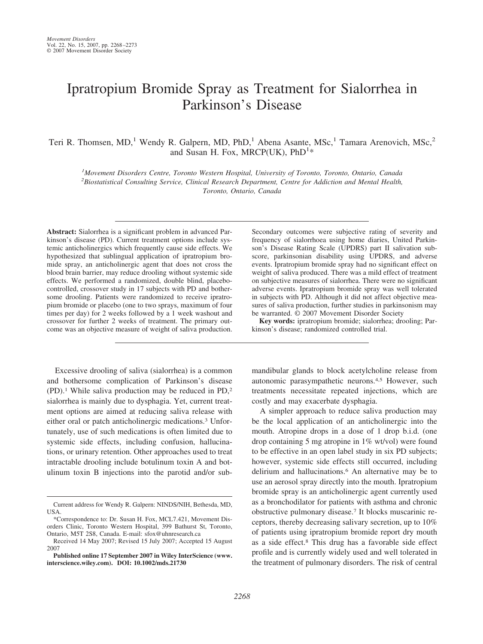# Ipratropium Bromide Spray as Treatment for Sialorrhea in Parkinson's Disease

Teri R. Thomsen, MD,<sup>1</sup> Wendy R. Galpern, MD, PhD,<sup>1</sup> Abena Asante, MSc,<sup>1</sup> Tamara Arenovich, MSc,<sup>2</sup> and Susan H. Fox, MRCP(UK), PhD<sup>1</sup>\*

*1 Movement Disorders Centre, Toronto Western Hospital, University of Toronto, Toronto, Ontario, Canada 2 Biostatistical Consulting Service, Clinical Research Department, Centre for Addiction and Mental Health, Toronto, Ontario, Canada*

**Abstract:** Sialorrhea is a significant problem in advanced Parkinson's disease (PD). Current treatment options include systemic anticholinergics which frequently cause side effects. We hypothesized that sublingual application of ipratropium bromide spray, an anticholinergic agent that does not cross the blood brain barrier, may reduce drooling without systemic side effects. We performed a randomized, double blind, placebocontrolled, crossover study in 17 subjects with PD and bothersome drooling. Patients were randomized to receive ipratropium bromide or placebo (one to two sprays, maximum of four times per day) for 2 weeks followed by a 1 week washout and crossover for further 2 weeks of treatment. The primary outcome was an objective measure of weight of saliva production.

Excessive drooling of saliva (sialorrhea) is a common and bothersome complication of Parkinson's disease  $(PD)$ .<sup>1</sup> While saliva production may be reduced in PD,<sup>2</sup> sialorrhea is mainly due to dysphagia. Yet, current treatment options are aimed at reducing saliva release with either oral or patch anticholinergic medications.3 Unfortunately, use of such medications is often limited due to systemic side effects, including confusion, hallucinations, or urinary retention. Other approaches used to treat intractable drooling include botulinum toxin A and botulinum toxin B injections into the parotid and/or subSecondary outcomes were subjective rating of severity and frequency of sialorrhoea using home diaries, United Parkinson's Disease Rating Scale (UPDRS) part II salivation subscore, parkinsonian disability using UPDRS, and adverse events. Ipratropium bromide spray had no significant effect on weight of saliva produced. There was a mild effect of treatment on subjective measures of sialorrhea. There were no significant adverse events. Ipratropium bromide spray was well tolerated in subjects with PD. Although it did not affect objective measures of saliva production, further studies in parkinsonism may be warranted. © 2007 Movement Disorder Society

**Key words:** ipratropium bromide; sialorrhea; drooling; Parkinson's disease; randomized controlled trial.

mandibular glands to block acetylcholine release from autonomic parasympathetic neurons.4,5 However, such treatments necessitate repeated injections, which are costly and may exacerbate dysphagia.

A simpler approach to reduce saliva production may be the local application of an anticholinergic into the mouth. Atropine drops in a dose of 1 drop b.i.d. (one drop containing 5 mg atropine in 1% wt/vol) were found to be effective in an open label study in six PD subjects; however, systemic side effects still occurred, including delirium and hallucinations.6 An alternative may be to use an aerosol spray directly into the mouth. Ipratropium bromide spray is an anticholinergic agent currently used as a bronchodilator for patients with asthma and chronic obstructive pulmonary disease.7 It blocks muscarinic receptors, thereby decreasing salivary secretion, up to 10% of patients using ipratropium bromide report dry mouth as a side effect.8 This drug has a favorable side effect profile and is currently widely used and well tolerated in the treatment of pulmonary disorders. The risk of central

Current address for Wendy R. Galpern: NINDS/NIH, Bethesda, MD, USA.

<sup>\*</sup>Correspondence to: Dr. Susan H. Fox, MCL7.421, Movement Disorders Clinic, Toronto Western Hospital, 399 Bathurst St, Toronto, Ontario, M5T 2S8, Canada. E-mail: sfox@uhnresearch.ca

Received 14 May 2007; Revised 15 July 2007; Accepted 15 August 2007

**Published online 17 September 2007 in Wiley InterScience (www. interscience.wiley.com). DOI: 10.1002/mds.21730**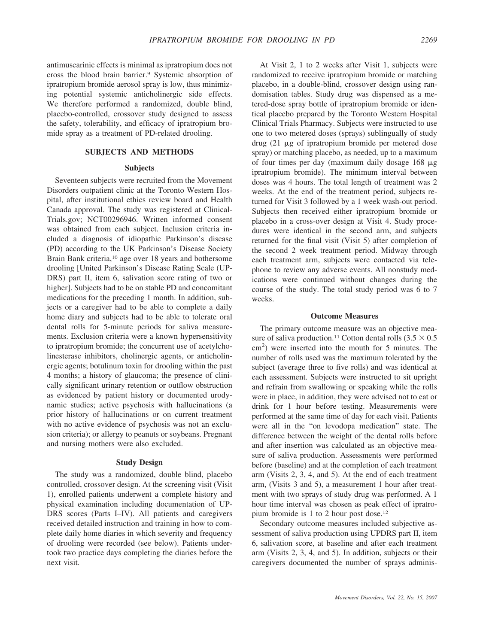antimuscarinic effects is minimal as ipratropium does not cross the blood brain barrier.9 Systemic absorption of ipratropium bromide aerosol spray is low, thus minimizing potential systemic anticholinergic side effects. We therefore performed a randomized, double blind, placebo-controlled, crossover study designed to assess the safety, tolerability, and efficacy of ipratropium bromide spray as a treatment of PD-related drooling.

# **SUBJECTS AND METHODS**

# **Subjects**

Seventeen subjects were recruited from the Movement Disorders outpatient clinic at the Toronto Western Hospital, after institutional ethics review board and Health Canada approval. The study was registered at Clinical-Trials.gov; NCT00296946. Written informed consent was obtained from each subject. Inclusion criteria included a diagnosis of idiopathic Parkinson's disease (PD) according to the UK Parkinson's Disease Society Brain Bank criteria,<sup>10</sup> age over 18 years and bothersome drooling [United Parkinson's Disease Rating Scale (UP-DRS) part II, item 6, salivation score rating of two or higher]. Subjects had to be on stable PD and concomitant medications for the preceding 1 month. In addition, subjects or a caregiver had to be able to complete a daily home diary and subjects had to be able to tolerate oral dental rolls for 5-minute periods for saliva measurements. Exclusion criteria were a known hypersensitivity to ipratropium bromide; the concurrent use of acetylcholinesterase inhibitors, cholinergic agents, or anticholinergic agents; botulinum toxin for drooling within the past 4 months; a history of glaucoma; the presence of clinically significant urinary retention or outflow obstruction as evidenced by patient history or documented urodynamic studies; active psychosis with hallucinations (a prior history of hallucinations or on current treatment with no active evidence of psychosis was not an exclusion criteria); or allergy to peanuts or soybeans. Pregnant and nursing mothers were also excluded.

#### **Study Design**

The study was a randomized, double blind, placebo controlled, crossover design. At the screening visit (Visit 1), enrolled patients underwent a complete history and physical examination including documentation of UP-DRS scores (Parts I–IV). All patients and caregivers received detailed instruction and training in how to complete daily home diaries in which severity and frequency of drooling were recorded (see below). Patients undertook two practice days completing the diaries before the next visit.

At Visit 2, 1 to 2 weeks after Visit 1, subjects were randomized to receive ipratropium bromide or matching placebo, in a double-blind, crossover design using randomisation tables. Study drug was dispensed as a metered-dose spray bottle of ipratropium bromide or identical placebo prepared by the Toronto Western Hospital Clinical Trials Pharmacy. Subjects were instructed to use one to two metered doses (sprays) sublingually of study drug  $(21 \mu g)$  of ipratropium bromide per metered dose spray) or matching placebo, as needed, up to a maximum of four times per day (maximum daily dosage  $168 \mu g$ ipratropium bromide). The minimum interval between doses was 4 hours. The total length of treatment was 2 weeks. At the end of the treatment period, subjects returned for Visit 3 followed by a 1 week wash-out period. Subjects then received either ipratropium bromide or placebo in a cross-over design at Visit 4. Study procedures were identical in the second arm, and subjects returned for the final visit (Visit 5) after completion of the second 2 week treatment period. Midway through each treatment arm, subjects were contacted via telephone to review any adverse events. All nonstudy medications were continued without changes during the course of the study. The total study period was 6 to 7 weeks.

#### **Outcome Measures**

The primary outcome measure was an objective measure of saliva production.<sup>11</sup> Cotton dental rolls  $(3.5 \times 0.5)$  $\text{cm}^2$ ) were inserted into the mouth for 5 minutes. The number of rolls used was the maximum tolerated by the subject (average three to five rolls) and was identical at each assessment. Subjects were instructed to sit upright and refrain from swallowing or speaking while the rolls were in place, in addition, they were advised not to eat or drink for 1 hour before testing. Measurements were performed at the same time of day for each visit. Patients were all in the "on levodopa medication" state. The difference between the weight of the dental rolls before and after insertion was calculated as an objective measure of saliva production. Assessments were performed before (baseline) and at the completion of each treatment arm (Visits 2, 3, 4, and 5). At the end of each treatment arm, (Visits 3 and 5), a measurement 1 hour after treatment with two sprays of study drug was performed. A 1 hour time interval was chosen as peak effect of ipratropium bromide is 1 to 2 hour post dose.12

Secondary outcome measures included subjective assessment of saliva production using UPDRS part II, item 6, salivation score, at baseline and after each treatment arm (Visits 2, 3, 4, and 5). In addition, subjects or their caregivers documented the number of sprays adminis-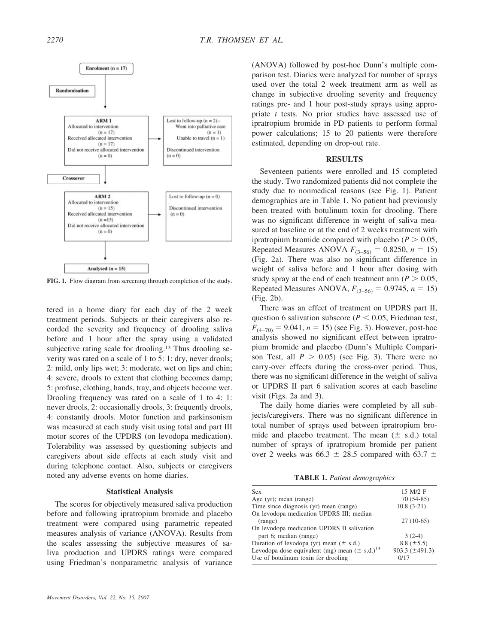

**FIG. 1.** Flow diagram from screening through completion of the study.

tered in a home diary for each day of the 2 week treatment periods. Subjects or their caregivers also recorded the severity and frequency of drooling saliva before and 1 hour after the spray using a validated subjective rating scale for drooling.<sup>13</sup> Thus drooling severity was rated on a scale of 1 to 5: 1: dry, never drools; 2: mild, only lips wet; 3: moderate, wet on lips and chin; 4: severe, drools to extent that clothing becomes damp; 5: profuse, clothing, hands, tray, and objects become wet. Drooling frequency was rated on a scale of 1 to 4: 1: never drools, 2: occasionally drools, 3: frequently drools, 4: constantly drools. Motor function and parkinsonism was measured at each study visit using total and part III motor scores of the UPDRS (on levodopa medication). Tolerability was assessed by questioning subjects and caregivers about side effects at each study visit and during telephone contact. Also, subjects or caregivers noted any adverse events on home diaries.

## **Statistical Analysis**

The scores for objectively measured saliva production before and following ipratropium bromide and placebo treatment were compared using parametric repeated measures analysis of variance (ANOVA). Results from the scales assessing the subjective measures of saliva production and UPDRS ratings were compared using Friedman's nonparametric analysis of variance (ANOVA) followed by post-hoc Dunn's multiple comparison test. Diaries were analyzed for number of sprays used over the total 2 week treatment arm as well as change in subjective drooling severity and frequency ratings pre- and 1 hour post-study sprays using appropriate *t* tests. No prior studies have assessed use of ipratropium bromide in PD patients to perform formal power calculations; 15 to 20 patients were therefore estimated, depending on drop-out rate.

# **RESULTS**

Seventeen patients were enrolled and 15 completed the study. Two randomized patients did not complete the study due to nonmedical reasons (see Fig. 1). Patient demographics are in Table 1. No patient had previously been treated with botulinum toxin for drooling. There was no significant difference in weight of saliva measured at baseline or at the end of 2 weeks treatment with ipratropium bromide compared with placebo ( $P > 0.05$ , Repeated Measures ANOVA  $F_{(3-56)} = 0.8250$ ,  $n = 15$ ) (Fig. 2a). There was also no significant difference in weight of saliva before and 1 hour after dosing with study spray at the end of each treatment arm  $(P > 0.05$ , Repeated Measures ANOVA,  $F_{(3-56)} = 0.9745$ ,  $n = 15$ ) (Fig. 2b).

There was an effect of treatment on UPDRS part II, question 6 salivation subscore ( $P < 0.05$ , Friedman test,  $F_{(4-70)} = 9.041$ ,  $n = 15$ ) (see Fig. 3). However, post-hoc analysis showed no significant effect between ipratropium bromide and placebo (Dunn's Multiple Comparison Test, all  $P > 0.05$ ) (see Fig. 3). There were no carry-over effects during the cross-over period. Thus, there was no significant difference in the weight of saliva or UPDRS II part 6 salivation scores at each baseline visit (Figs. 2a and 3).

The daily home diaries were completed by all subjects/caregivers. There was no significant difference in total number of sprays used between ipratropium bromide and placebo treatment. The mean  $(\pm s.d.)$  total number of sprays of ipratropium bromide per patient over 2 weeks was 66.3  $\pm$  28.5 compared with 63.7  $\pm$ 

**TABLE 1.** *Patient demographics*

| Sex                                                                  | 15 M/2 F            |
|----------------------------------------------------------------------|---------------------|
| Age (yr); mean (range)                                               | $70(54-85)$         |
| Time since diagnosis (yr) mean (range)                               | $10.8(3-21)$        |
| On levodopa medication UPDRS III; median<br>(range)                  | $27(10-65)$         |
| On levodopa medication UPDRS II salivation<br>part 6; median (range) | $3(2-4)$            |
| Duration of levodopa (yr) mean $(\pm s.d.)$                          | $8.8 (\pm 5.5)$     |
| Levodopa-dose equivalent (mg) mean $(\pm s.d.)^{14}$                 | $903.3 (\pm 491.3)$ |
| Use of botulinum toxin for drooling                                  | 0/17                |
|                                                                      |                     |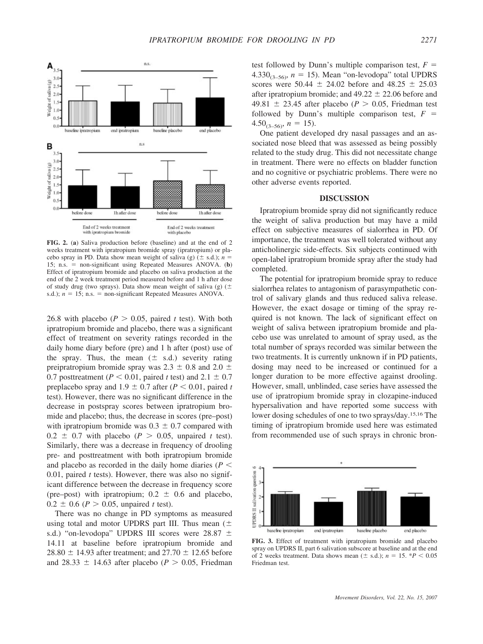

**FIG. 2.** (**a**) Saliva production before (baseline) and at the end of 2 weeks treatment with ipratropium bromide spray (ipratropium) or placebo spray in PD. Data show mean weight of saliva (g) ( $\pm$  s.d.); *n* = 15; n.s. = non-significant using Repeated Measures ANOVA. (**b**) Effect of ipratropium bromide and placebo on saliva production at the end of the 2 week treatment period measured before and 1 h after dose of study drug (two sprays). Data show mean weight of saliva (g) ( $\pm$ s.d.);  $n = 15$ ; n.s.  $=$  non-significant Repeated Measures ANOVA.

26.8 with placebo ( $P > 0.05$ , paired *t* test). With both ipratropium bromide and placebo, there was a significant effect of treatment on severity ratings recorded in the daily home diary before (pre) and 1 h after (post) use of the spray. Thus, the mean  $(\pm s.d.)$  severity rating preipratropium bromide spray was  $2.3 \pm 0.8$  and  $2.0 \pm$ 0.7 posttreatment ( $P < 0.01$ , paired *t* test) and 2.1  $\pm$  0.7 preplacebo spray and  $1.9 \pm 0.7$  after ( $P < 0.01$ , paired *t* test). However, there was no significant difference in the decrease in postspray scores between ipratropium bromide and placebo; thus, the decrease in scores (pre–post) with ipratropium bromide was  $0.3 \pm 0.7$  compared with  $0.2 \pm 0.7$  with placebo ( $P > 0.05$ , unpaired *t* test). Similarly, there was a decrease in frequency of drooling pre- and posttreatment with both ipratropium bromide and placebo as recorded in the daily home diaries ( $P \leq$ 0.01, paired *t* tests). However, there was also no significant difference between the decrease in frequency score (pre–post) with ipratropium;  $0.2 \pm 0.6$  and placebo,  $0.2 \pm 0.6$  ( $P > 0.05$ , unpaired *t* test).

There was no change in PD symptoms as measured using total and motor UPDRS part III. Thus mean  $($ s.d.) "on-levodopa" UPDRS III scores were  $28.87 \pm$ 14.11 at baseline before ipratropium bromide and  $28.80 \pm 14.93$  after treatment; and  $27.70 \pm 12.65$  before and 28.33  $\pm$  14.63 after placebo ( $P > 0.05$ , Friedman test followed by Dunn's multiple comparison test,  $F =$ 4.330<sub>(3–56)</sub>,  $n = 15$ ). Mean "on-levodopa" total UPDRS scores were 50.44  $\pm$  24.02 before and 48.25  $\pm$  25.03 after ipratropium bromide; and  $49.22 \pm 22.06$  before and 49.81  $\pm$  23.45 after placebo ( $P > 0.05$ , Friedman test followed by Dunn's multiple comparison test,  $F =$  $4.50_{(3-56)}$ ,  $n = 15$ ).

One patient developed dry nasal passages and an associated nose bleed that was assessed as being possibly related to the study drug. This did not necessitate change in treatment. There were no effects on bladder function and no cognitive or psychiatric problems. There were no other adverse events reported.

### **DISCUSSION**

Ipratropium bromide spray did not significantly reduce the weight of saliva production but may have a mild effect on subjective measures of sialorrhea in PD. Of importance, the treatment was well tolerated without any anticholinergic side-effects. Six subjects continued with open-label ipratropium bromide spray after the study had completed.

The potential for ipratropium bromide spray to reduce sialorrhea relates to antagonism of parasympathetic control of salivary glands and thus reduced saliva release. However, the exact dosage or timing of the spray required is not known. The lack of significant effect on weight of saliva between ipratropium bromide and placebo use was unrelated to amount of spray used, as the total number of sprays recorded was similar between the two treatments. It is currently unknown if in PD patients, dosing may need to be increased or continued for a longer duration to be more effective against drooling. However, small, unblinded, case series have assessed the use of ipratropium bromide spray in clozapine-induced hypersalivation and have reported some success with lower dosing schedules of one to two sprays/day.15,16 The timing of ipratropium bromide used here was estimated from recommended use of such sprays in chronic bron-



**FIG. 3.** Effect of treatment with ipratropium bromide and placebo spray on UPDRS II, part 6 salivation subscore at baseline and at the end of 2 weeks treatment. Data shows mean  $(\pm s.d.)$ ;  $n = 15$ . \* $P < 0.05$ Friedman test.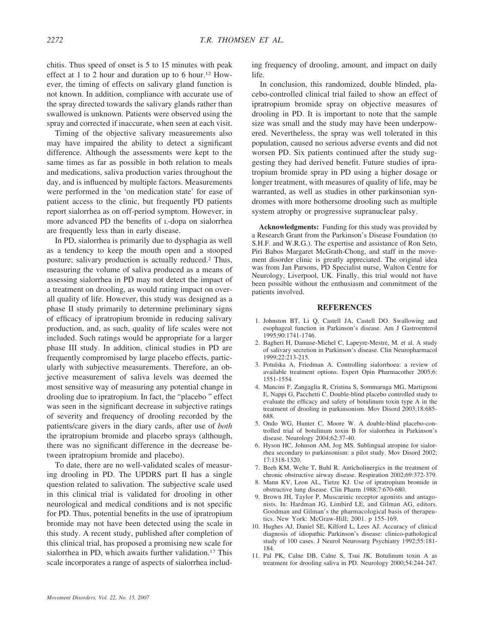chitis. Thus speed of onset is 5 to 15 minutes with peak effect at 1 to 2 hour and duration up to 6 hour.<sup>12</sup> However, the timing of effects on salivary gland function is not known. In addition, compliance with accurate use of the spray directed towards the salivary glands rather than swallowed is unknown. Patients were observed using the spray and corrected if inaccurate, when seen at each visit.

Timing of the objective salivary measurements also may have impaired the ability to detect a significant difference. Although the assessments were kept to the same times as far as possible in both relation to meals and medications, saliva production varies throughout the day, and is influenced by multiple factors. Measurements were performed in the 'on medication state' for ease of patient access to the clinic, but frequently PD patients report sialorrhea as on off-period symptom. However, in more advanced PD the benefits of L-dopa on sialorrhea are frequently less than in early disease.

In PD, sialorrhea is primarily due to dysphagia as well as a tendency to keep the mouth open and a stooped posture; salivary production is actually reduced.2 Thus, measuring the volume of saliva produced as a means of assessing sialorrhea in PD may not detect the impact of a treatment on drooling, as would rating impact on overall quality of life. However, this study was designed as a phase II study primarily to determine preliminary signs of efficacy of ipratropium bromide in reducing salivary production, and, as such, quality of life scales were not included. Such ratings would be appropriate for a larger phase III study. In addition, clinical studies in PD are frequently compromised by large placebo effects, particularly with subjective measurements. Therefore, an objective measurement of saliva levels was deemed the most sensitive way of measuring any potential change in drooling due to ipratropium. In fact, the "placebo " effect was seen in the significant decrease in subjective ratings of severity and frequency of drooling recorded by the patients/care givers in the diary cards, after use of *both* the ipratropium bromide and placebo sprays (although, there was no significant difference in the decrease between ipratropium bromide and placebo).

To date, there are no well-validated scales of measuring drooling in PD. The UPDRS part II has a single question related to salivation. The subjective scale used in this clinical trial is validated for drooling in other neurological and medical conditions and is not specific for PD. Thus, potential benefits in the use of ipratropium bromide may not have been detected using the scale in this study. A recent study, published after completion of this clinical trial, has proposed a promising new scale for sialorrhea in PD, which awaits further validation.17 This scale incorporates a range of aspects of sialorrhea including frequency of drooling, amount, and impact on daily life.

In conclusion, this randomized, double blinded, placebo-controlled clinical trial failed to show an effect of ipratropium bromide spray on objective measures of drooling in PD. It is important to note that the sample size was small and the study may have been underpowered. Nevertheless, the spray was well tolerated in this population, caused no serious adverse events and did not worsen PD. Six patients continued after the study suggesting they had derived benefit. Future studies of ipratropium bromide spray in PD using a higher dosage or longer treatment, with measures of quality of life, may be warranted, as well as studies in other parkinsonian syndromes with more bothersome drooling such as multiple system atrophy or progressive supranuclear palsy.

**Acknowledgments:** Funding for this study was provided by a Research Grant from the Parkinson's Disease Foundation (to S.H.F. and W.R.G.). The expertise and assistance of Ron Seto, Piri Babos Margaret McGrath-Chong, and staff in the movement disorder clinic is greatly appreciated. The original idea was from Jan Parsons, PD Specialist nurse, Walton Centre for Neurology, Liverpool, UK. Finally, this trial would not have been possible without the enthusiasm and commitment of the patients involved.

#### **REFERENCES**

- 1. Johnston BT, Li Q, Castell JA, Castell DO. Swallowing and esophageal function in Parkinson's disease. Am J Gastroenterol 1995;90:1741-1746.
- 2. Bagheri H, Damase-Michel C, Lapeyre-Mestre, M. et al. A study of salivary secretion in Parkinson's disease. Clin Neuropharmacol 1999;22:213-215.
- 3. Potulska A, Friedman A. Controlling sialorrhoea: a review of available treatment options. Expert Opin Pharmacother 2005;6: 1551-1554.
- 4. Mancini F, Zangaglia R, Cristina S, Sommaruga MG, Martignoni E, Nappi G, Pacchetti C. Double-blind placebo controlled study to evaluate the efficacy and safety of botulinum toxin type A in the treatment of drooling in parkinsonism. Mov Disord 2003;18:685- 688.
- 5. Ondo WG, Hunter C, Moore W. A double-blind placebo-controlled trial of botulinum toxin B for sialorrhea in Parkinson's disease. Neurology 2004;62:37-40.
- 6. Hyson HC, Johnson AM, Jog MS. Sublingual atropine for sialorrhea secondary to parkinsonism: a pilot study. Mov Disord 2002; 17:1318-1320.
- 7. Beeh KM, Welte T, Buhl R. Anticholinergics in the treatment of chronic obstructive airway disease. Respiration 2002;69:372-379.
- 8. Mann KV, Leon AL, Tietze KJ. Use of ipratropium bromide in obstructive lung disease. Clin Pharm 1988;7:670-680.
- 9. Brown JH, Taylor P. Muscarinic receptor agonists and antagonists. In: Hardman JG, Limbird LE, and Gilman AG, editors. Goodman and Gilman's the pharmacological basis of therapeutics. New York: McGraw-Hill; 2001. p 155-169.
- 10. Hughes AJ, Daniel SE, Kilford L, Lees AJ. Accuracy of clinical diagnosis of idiopathic Parkinson's disease: clinico-pathological study of 100 cases. J Neurol Neurosurg Psychiatry 1992;55:181- 184.
- 11. Pal PK, Calne DB, Calne S, Tsui JK. Botulinum toxin A as treatment for drooling saliva in PD. Neurology 2000;54:244-247.